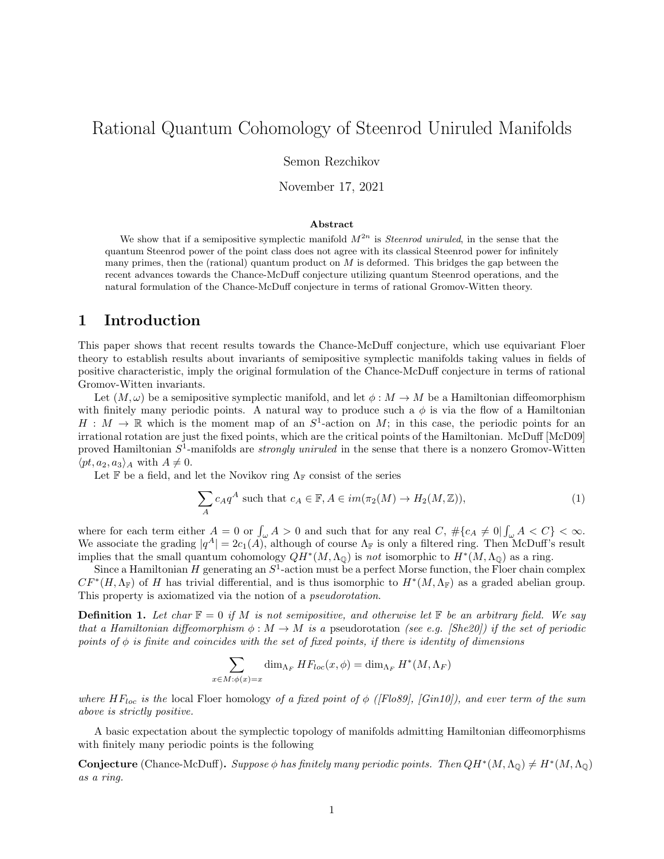# Rational Quantum Cohomology of Steenrod Uniruled Manifolds

Semon Rezchikov

November 17, 2021

#### Abstract

We show that if a semipositive symplectic manifold  $M^{2n}$  is *Steenrod uniruled*, in the sense that the quantum Steenrod power of the point class does not agree with its classical Steenrod power for infinitely many primes, then the (rational) quantum product on  $M$  is deformed. This bridges the gap between the recent advances towards the Chance-McDuff conjecture utilizing quantum Steenrod operations, and the natural formulation of the Chance-McDuff conjecture in terms of rational Gromov-Witten theory.

#### 1 Introduction

This paper shows that recent results towards the Chance-McDuff conjecture, which use equivariant Floer theory to establish results about invariants of semipositive symplectic manifolds taking values in fields of positive characteristic, imply the original formulation of the Chance-McDuff conjecture in terms of rational Gromov-Witten invariants.

Let  $(M,\omega)$  be a semipositive symplectic manifold, and let  $\phi: M \to M$  be a Hamiltonian diffeomorphism with finitely many periodic points. A natural way to produce such a  $\phi$  is via the flow of a Hamiltonian  $H : M \to \mathbb{R}$  which is the moment map of an  $S^1$ -action on M; in this case, the periodic points for an irrational rotation are just the fixed points, which are the critical points of the Hamiltonian. McDuff [McD09] proved Hamiltonian  $S^1$ -manifolds are *strongly uniruled* in the sense that there is a nonzero Gromov-Witten  $\langle pt, a_2, a_3 \rangle_A$  with  $A \neq 0$ .

Let F be a field, and let the Novikov ring  $\Lambda_{\mathbb{F}}$  consist of the series

$$
\sum_{A} c_A q^A \text{ such that } c_A \in \mathbb{F}, A \in im(\pi_2(M) \to H_2(M, \mathbb{Z})),
$$
\n(1)

where for each term either  $A = 0$  or  $\int_{\omega} A > 0$  and such that for any real  $C, \# \{c_A \neq 0 | \int_{\omega} A < C\} < \infty$ . We associate the grading  $|q^A| = 2c_1(A)$ , although of course  $\Lambda_{\mathbb{F}}$  is only a filtered ring. Then McDuff's result implies that the small quantum cohomology  $QH^*(M,\Lambda_{\mathbb{Q}})$  is not isomorphic to  $H^*(M,\Lambda_{\mathbb{Q}})$  as a ring.

Since a Hamiltonian H generating an  $S^1$ -action must be a perfect Morse function, the Floer chain complex  $CF^*(H, \Lambda_F)$  of H has trivial differential, and is thus isomorphic to  $H^*(M, \Lambda_F)$  as a graded abelian group. This property is axiomatized via the notion of a pseudorotation.

**Definition 1.** Let char  $\mathbb{F} = 0$  if M is not semipositive, and otherwise let  $\mathbb{F}$  be an arbitrary field. We say that a Hamiltonian diffeomorphism  $\phi : M \to M$  is a pseudorotation (see e.g. [She20]) if the set of periodic points of  $\phi$  is finite and coincides with the set of fixed points, if there is identity of dimensions

$$
\sum_{x \in M : \phi(x) = x} \dim_{\Lambda_F} HF_{loc}(x, \phi) = \dim_{\Lambda_F} H^*(M, \Lambda_F)
$$

where  $HF_{loc}$  is the local Floer homology of a fixed point of  $\phi$  ([Flo89], [Gin10]), and ever term of the sum above is strictly positive.

A basic expectation about the symplectic topology of manifolds admitting Hamiltonian diffeomorphisms with finitely many periodic points is the following

**Conjecture** (Chance-McDuff). Suppose  $\phi$  has finitely many periodic points. Then  $QH^*(M,\Lambda_0) \neq H^*(M,\Lambda_0)$ as a ring.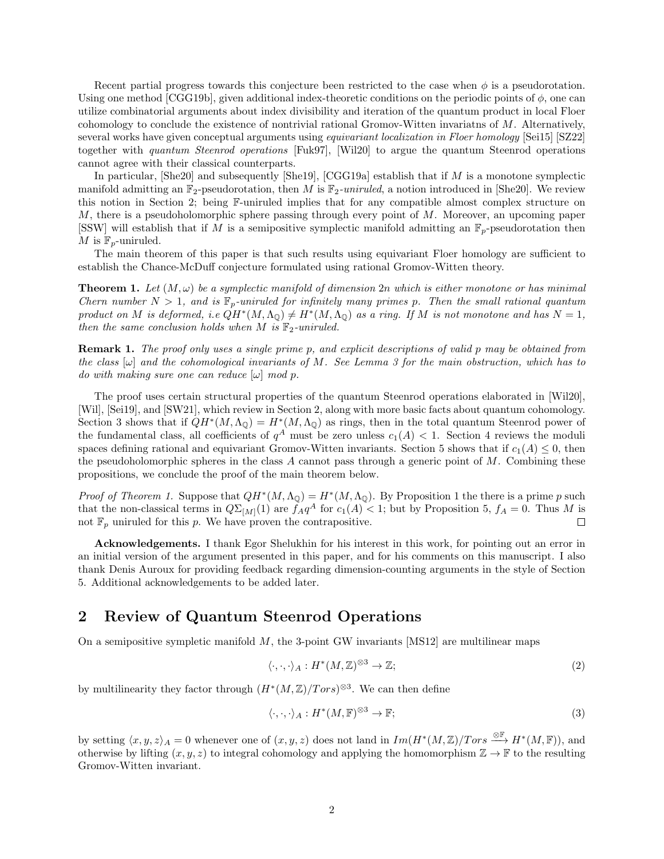Recent partial progress towards this conjecture been restricted to the case when  $\phi$  is a pseudorotation. Using one method [CGG19b], given additional index-theoretic conditions on the periodic points of  $\phi$ , one can utilize combinatorial arguments about index divisibility and iteration of the quantum product in local Floer cohomology to conclude the existence of nontrivial rational Gromov-Witten invariatns of M. Alternatively, several works have given conceptual arguments using *equivariant localization in Floer homology* [Sei15] [SZ22] together with quantum Steenrod operations [Fuk97], [Wil20] to argue the quantum Steenrod operations cannot agree with their classical counterparts.

In particular,  $[\text{She20}]$  and subsequently  $[\text{She19}]$ ,  $[\text{CGG19a}]$  establish that if M is a monotone symplectic manifold admitting an  $\mathbb{F}_2$ -pseudorotation, then M is  $\mathbb{F}_2$ -uniruled, a notion introduced in [She20]. We review this notion in Section 2; being F-uniruled implies that for any compatible almost complex structure on M, there is a pseudoholomorphic sphere passing through every point of M. Moreover, an upcoming paper [SSW] will establish that if M is a semipositive symplectic manifold admitting an  $\mathbb{F}_p$ -pseudorotation then M is  $\mathbb{F}_p$ -uniruled.

The main theorem of this paper is that such results using equivariant Floer homology are sufficient to establish the Chance-McDuff conjecture formulated using rational Gromov-Witten theory.

**Theorem 1.** Let  $(M, \omega)$  be a symplectic manifold of dimension 2n which is either monotone or has minimal Chern number  $N > 1$ , and is  $\mathbb{F}_p$ -uniruled for infinitely many primes p. Then the small rational quantum product on M is deformed, i.e  $QH^*(M,\Lambda_{\mathbb{Q}}) \neq H^*(M,\Lambda_{\mathbb{Q}})$  as a ring. If M is not monotone and has  $N=1$ , then the same conclusion holds when M is  $\mathbb{F}_2$ -uniruled.

Remark 1. The proof only uses a single prime p, and explicit descriptions of valid p may be obtained from the class  $[\omega]$  and the cohomological invariants of M. See Lemma 3 for the main obstruction, which has to do with making sure one can reduce  $[\omega]$  mod p.

The proof uses certain structural properties of the quantum Steenrod operations elaborated in [Wil20], [Wil], [Sei19], and [SW21], which review in Section 2, along with more basic facts about quantum cohomology. Section 3 shows that if  $QH^*(M,\Lambda_{\mathbb{Q}}) = H^*(M,\Lambda_{\mathbb{Q}})$  as rings, then in the total quantum Steenrod power of the fundamental class, all coefficients of  $q^A$  must be zero unless  $c_1(A) < 1$ . Section 4 reviews the moduli spaces defining rational and equivariant Gromov-Witten invariants. Section 5 shows that if  $c_1(A) \leq 0$ , then the pseudoholomorphic spheres in the class A cannot pass through a generic point of  $M$ . Combining these propositions, we conclude the proof of the main theorem below.

*Proof of Theorem 1.* Suppose that  $QH^*(M,\Lambda_0) = H^*(M,\Lambda_0)$ . By Proposition 1 the there is a prime p such that the non-classical terms in  $Q\Sigma_{[M]}(1)$  are  $f_A q^A$  for  $c_1(A) < 1$ ; but by Proposition 5,  $f_A = 0$ . Thus M is not  $\mathbb{F}_p$  uniruled for this p. We have proven the contrapositive.  $\Box$ 

Acknowledgements. I thank Egor Shelukhin for his interest in this work, for pointing out an error in an initial version of the argument presented in this paper, and for his comments on this manuscript. I also thank Denis Auroux for providing feedback regarding dimension-counting arguments in the style of Section 5. Additional acknowledgements to be added later.

## 2 Review of Quantum Steenrod Operations

On a semipositive sympletic manifold  $M$ , the 3-point GW invariants [MS12] are multilinear maps

$$
\langle \cdot, \cdot, \cdot \rangle_A : H^*(M, \mathbb{Z})^{\otimes 3} \to \mathbb{Z};\tag{2}
$$

by multilinearity they factor through  $(H^*(M,\mathbb{Z})/Tors)^{\otimes 3}$ . We can then define

$$
\langle \cdot, \cdot, \cdot \rangle_A : H^*(M, \mathbb{F})^{\otimes 3} \to \mathbb{F};\tag{3}
$$

by setting  $\langle x, y, z \rangle_A = 0$  whenever one of  $(x, y, z)$  does not land in  $Im(H^*(M, \mathbb{Z})/Tors \stackrel{\otimes \mathbb{F}}{\longrightarrow} H^*(M, \mathbb{F}))$ , and otherwise by lifting  $(x, y, z)$  to integral cohomology and applying the homomorphism  $\mathbb{Z} \to \mathbb{F}$  to the resulting Gromov-Witten invariant.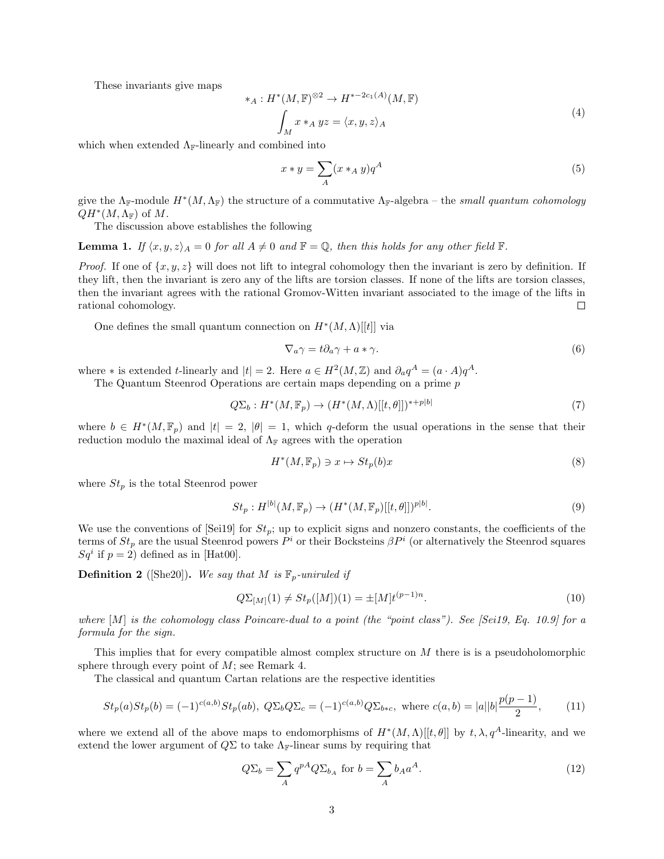These invariants give maps

$$
*_A: H^*(M, \mathbb{F})^{\otimes 2} \to H^{*-2c_1(A)}(M, \mathbb{F})
$$

$$
\int_M x *_A yz = \langle x, y, z \rangle_A
$$

$$
(4)
$$

which when extended  $\Lambda_{\mathbb{F}}$ -linearly and combined into

$$
x * y = \sum_{A} (x *_{A} y) q^{A}
$$
 (5)

give the  $\Lambda_{\mathbb{F}}$ -module  $H^*(M, \Lambda_{\mathbb{F}})$  the structure of a commutative  $\Lambda_{\mathbb{F}}$ -algebra – the small quantum cohomology  $QH^*(M,\Lambda_{\mathbb{F}})$  of M.

The discussion above establishes the following

**Lemma 1.** If  $\langle x, y, z \rangle_A = 0$  for all  $A \neq 0$  and  $\mathbb{F} = \mathbb{Q}$ , then this holds for any other field  $\mathbb{F}$ .

*Proof.* If one of  $\{x, y, z\}$  will does not lift to integral cohomology then the invariant is zero by definition. If they lift, then the invariant is zero any of the lifts are torsion classes. If none of the lifts are torsion classes, then the invariant agrees with the rational Gromov-Witten invariant associated to the image of the lifts in rational cohomology.  $\Box$ 

One defines the small quantum connection on  $H^*(M,\Lambda)[[t]]$  via

$$
\nabla_a \gamma = t \partial_a \gamma + a * \gamma. \tag{6}
$$

where \* is extended t-linearly and  $|t| = 2$ . Here  $a \in H^2(M, \mathbb{Z})$  and  $\partial_a q^A = (a \cdot A) q^A$ .

The Quantum Steenrod Operations are certain maps depending on a prime p

$$
Q\Sigma_b: H^*(M, \mathbb{F}_p) \to (H^*(M, \Lambda)[[t, \theta]])^{*+p|b|}
$$
\n
$$
(7)
$$

where  $b \in H^*(M, \mathbb{F}_p)$  and  $|t| = 2$ ,  $|\theta| = 1$ , which q-deform the usual operations in the sense that their reduction modulo the maximal ideal of  $\Lambda_{\mathbb{F}}$  agrees with the operation

$$
H^*(M, \mathbb{F}_p) \ni x \mapsto St_p(b)x \tag{8}
$$

where  $St_p$  is the total Steenrod power

$$
St_p: H^{|b|}(M, \mathbb{F}_p) \to (H^*(M, \mathbb{F}_p)[[t, \theta]])^{p|b|}.
$$
\n
$$
(9)
$$

We use the conventions of [Sei19] for  $St_p$ ; up to explicit signs and nonzero constants, the coefficients of the terms of  $St_p$  are the usual Steenrod powers  $P^i$  or their Bocksteins  $\beta P^i$  (or alternatively the Steenrod squares  $Sq<sup>i</sup>$  if  $p = 2$ ) defined as in [Hat00].

**Definition 2** ([She20]). We say that M is  $\mathbb{F}_p$ -uniruled if

$$
Q\Sigma_{[M]}(1) \neq St_p([M])(1) = \pm [M]t^{(p-1)n}.
$$
\n(10)

where  $[M]$  is the cohomology class Poincare-dual to a point (the "point class"). See [Sei19, Eq. 10.9] for a formula for the sign.

This implies that for every compatible almost complex structure on M there is is a pseudoholomorphic sphere through every point of  $M$ ; see Remark 4.

The classical and quantum Cartan relations are the respective identities

$$
St_p(a)St_p(b) = (-1)^{c(a,b)}St_p(ab), \ Q\Sigma_bQ\Sigma_c = (-1)^{c(a,b)}Q\Sigma_{b*c}, \ \text{where } c(a,b) = |a||b|\frac{p(p-1)}{2},\tag{11}
$$

where we extend all of the above maps to endomorphisms of  $H^*(M,\Lambda)[[t,\theta]]$  by  $t,\lambda,q^A$ -linearity, and we extend the lower argument of  $Q\Sigma$  to take  $\Lambda_{\mathbb{F}}$ -linear sums by requiring that

$$
Q\Sigma_b = \sum_A q^{pA} Q \Sigma_{b_A} \text{ for } b = \sum_A b_A a^A. \tag{12}
$$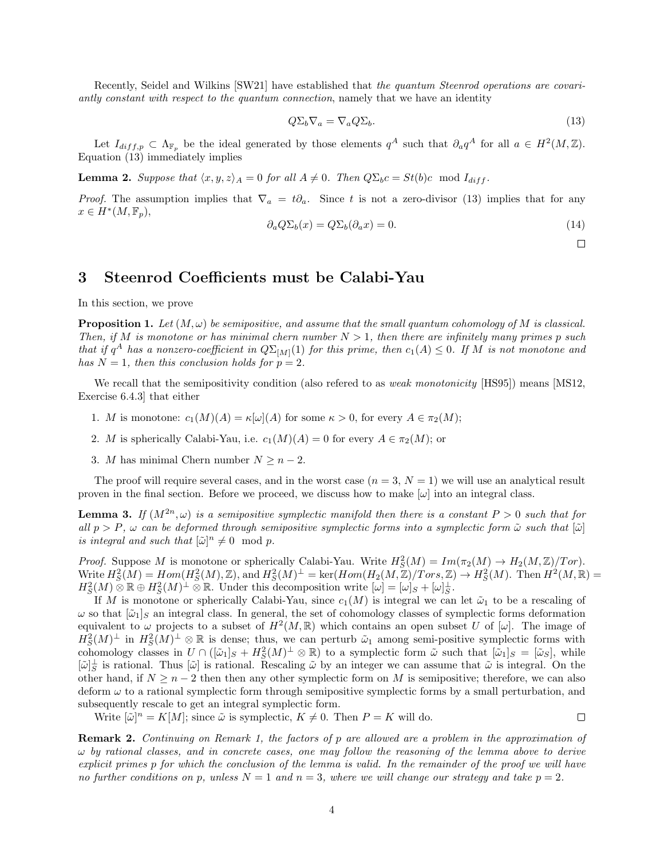Recently, Seidel and Wilkins [SW21] have established that the quantum Steenrod operations are covariantly constant with respect to the quantum connection, namely that we have an identity

$$
Q\Sigma_b \nabla_a = \nabla_a Q \Sigma_b. \tag{13}
$$

Let  $I_{diff,p} \subset \Lambda_{\mathbb{F}_p}$  be the ideal generated by those elements  $q^A$  such that  $\partial_q q^A$  for all  $a \in H^2(M,\mathbb{Z})$ . Equation (13) immediately implies

**Lemma 2.** Suppose that  $\langle x, y, z \rangle_A = 0$  for all  $A \neq 0$ . Then  $Q\Sigma_b c = St(b)c \mod I_{diff}$ .

*Proof.* The assumption implies that  $\nabla_a = t\partial_a$ . Since t is not a zero-divisor (13) implies that for any  $x \in H^*(M, \mathbb{F}_p),$ 

$$
\partial_a Q \Sigma_b(x) = Q \Sigma_b(\partial_a x) = 0. \tag{14}
$$

 $\Box$ 

 $\Box$ 

# 3 Steenrod Coefficients must be Calabi-Yau

In this section, we prove

**Proposition 1.** Let  $(M, \omega)$  be semipositive, and assume that the small quantum cohomology of M is classical. Then, if M is monotone or has minimal chern number  $N > 1$ , then there are infinitely many primes p such that if  $q^A$  has a nonzero-coefficient in  $Q\Sigma_{[M]}(1)$  for this prime, then  $c_1(A) \leq 0$ . If M is not monotone and has  $N = 1$ , then this conclusion holds for  $p = 2$ .

We recall that the semipositivity condition (also refered to as *weak monotonicity* [HS95]) means [MS12, Exercise 6.4.3] that either

- 1. M is monotone:  $c_1(M)(A) = \kappa[\omega](A)$  for some  $\kappa > 0$ , for every  $A \in \pi_2(M)$ ;
- 2. M is spherically Calabi-Yau, i.e.  $c_1(M)(A) = 0$  for every  $A \in \pi_2(M)$ ; or
- 3. M has minimal Chern number  $N \geq n-2$ .

The proof will require several cases, and in the worst case  $(n = 3, N = 1)$  we will use an analytical result proven in the final section. Before we proceed, we discuss how to make  $[\omega]$  into an integral class.

**Lemma 3.** If  $(M^{2n}, \omega)$  is a semipositive symplectic manifold then there is a constant  $P > 0$  such that for all  $p > P$ ,  $\omega$  can be deformed through semipositive symplectic forms into a symplectic form  $\tilde{\omega}$  such that  $[\tilde{\omega}]$ is integral and such that  $[\tilde{\omega}]^n \neq 0 \mod p$ .

*Proof.* Suppose M is monotone or spherically Calabi-Yau. Write  $H_S^2(M) = Im(\pi_2(M) \to H_2(M, \mathbb{Z})/Tor)$ . Write  $H_S^2(M) = Hom(H_S^2(M), \mathbb{Z})$ , and  $H_S^2(M)^{\perp} = \text{ker}(Hom(H_2(M, \mathbb{Z})/Tors, \mathbb{Z}) \to H_S^2(M)$ . Then  $H^2(M, \mathbb{R}) =$  $H_S^2(M) \otimes \mathbb{R} \oplus H_S^2(M)^\perp \otimes \mathbb{R}$ . Under this decomposition write  $[\omega] = [\omega]_S + [\omega]_S^\perp$ .

If M is monotone or spherically Calabi-Yau, since  $c_1(M)$  is integral we can let  $\tilde{\omega}_1$  to be a rescaling of  $\omega$  so that  $|\tilde{\omega}_1|_S$  an integral class. In general, the set of cohomology classes of symplectic forms deformation equivalent to  $\omega$  projects to a subset of  $H^2(M,\mathbb{R})$  which contains an open subset U of  $[\omega]$ . The image of  $H_S^2(M)^{\perp}$  in  $H_S^2(M)^{\perp} \otimes \mathbb{R}$  is dense; thus, we can perturb  $\tilde{\omega}_1$  among semi-positive symplectic forms with cohomology classes in  $U \cap ([\tilde{\omega}_1]_S + H_S^2(M)^{\perp} \otimes \mathbb{R})$  to a symplectic form  $\tilde{\omega}$  such that  $[\tilde{\omega}_1]_S = [\tilde{\omega}_S]$ , while  $[\tilde{\omega}]_S^{\perp}$  is rational. Thus  $[\tilde{\omega}]$  is rational. Rescaling  $\tilde{\omega}$  by an integer we can assume that  $\tilde{\omega}$  is integral. On the other hand, if  $N \geq n-2$  then then any other symplectic form on M is semipositive; therefore, we can also deform  $\omega$  to a rational symplectic form through semipositive symplectic forms by a small perturbation, and subsequently rescale to get an integral symplectic form.

Write  $[\tilde{\omega}]^n = K[M]$ ; since  $\tilde{\omega}$  is symplectic,  $K \neq 0$ . Then  $P = K$  will do.

Remark 2. Continuing on Remark 1, the factors of p are allowed are a problem in the approximation of  $\omega$  by rational classes, and in concrete cases, one may follow the reasoning of the lemma above to derive explicit primes p for which the conclusion of the lemma is valid. In the remainder of the proof we will have no further conditions on p, unless  $N = 1$  and  $n = 3$ , where we will change our strategy and take  $p = 2$ .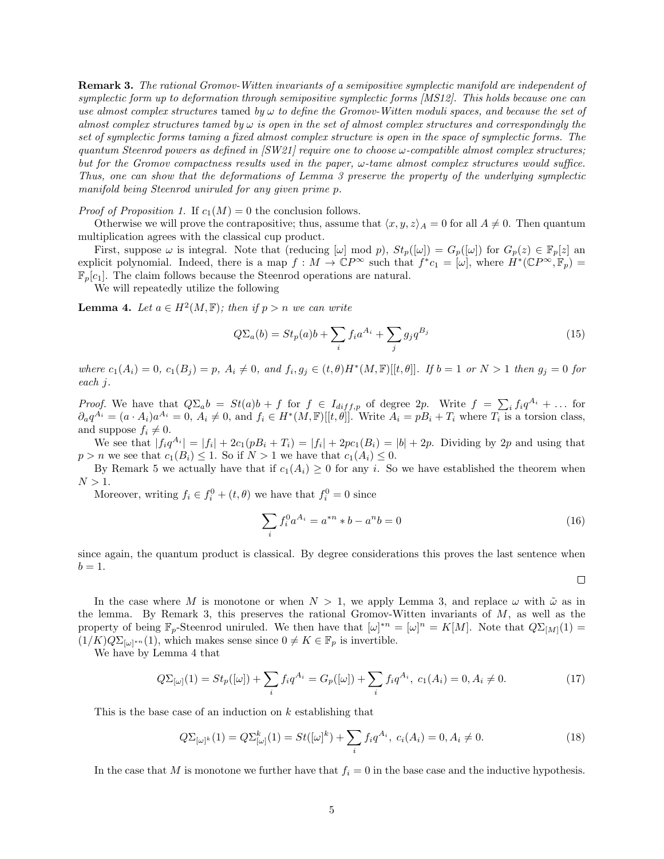**Remark 3.** The rational Gromov-Witten invariants of a semipositive symplectic manifold are independent of symplectic form up to deformation through semipositive symplectic forms [MS12]. This holds because one can use almost complex structures tamed by  $\omega$  to define the Gromov-Witten moduli spaces, and because the set of almost complex structures tamed by  $\omega$  is open in the set of almost complex structures and correspondingly the set of symplectic forms taming a fixed almost complex structure is open in the space of symplectic forms. The quantum Steenrod powers as defined in  $[SW21]$  require one to choose  $\omega$ -compatible almost complex structures; but for the Gromov compactness results used in the paper,  $\omega$ -tame almost complex structures would suffice. Thus, one can show that the deformations of Lemma 3 preserve the property of the underlying symplectic manifold being Steenrod uniruled for any given prime p.

*Proof of Proposition 1.* If  $c_1(M) = 0$  the conclusion follows.

Otherwise we will prove the contrapositive; thus, assume that  $\langle x, y, z \rangle_A = 0$  for all  $A \neq 0$ . Then quantum multiplication agrees with the classical cup product.

First, suppose  $\omega$  is integral. Note that (reducing  $[\omega] \mod p$ ),  $St_p([\omega]) = G_p([\omega])$  for  $G_p(z) \in \mathbb{F}_p[z]$  and explicit polynomial. Indeed, there is a map  $f : M \to \mathbb{C}P^{\infty}$  such that  $f^*c_1 = [\omega]$ , where  $H^*(\mathbb{C}P^{\infty}, \mathbb{F}_p) =$  $\mathbb{F}_p[c_1]$ . The claim follows because the Steenrod operations are natural.

We will repeatedly utilize the following

**Lemma 4.** Let  $a \in H^2(M, \mathbb{F})$ ; then if  $p > n$  we can write

$$
Q\Sigma_a(b) = St_p(a)b + \sum_i f_i a^{A_i} + \sum_j g_j q^{B_j}
$$
\n
$$
(15)
$$

where  $c_1(A_i) = 0$ ,  $c_1(B_j) = p$ ,  $A_i \neq 0$ , and  $f_i, g_j \in (t, \theta)H^*(M, \mathbb{F})[[t, \theta]]$ . If  $b = 1$  or  $N > 1$  then  $g_j = 0$  for each j.

*Proof.* We have that  $Q\Sigma_a b = St(a)b + f$  for  $f \in I_{diff,p}$  of degree 2p. Write  $f = \sum_i f_i q^{A_i} + \dots$  for  $\partial_a q^{\overline{A_i}} = (a \cdot A_i) a^{A_i} = 0, A_i \neq 0$ , and  $f_i \in H^*(M, \mathbb{F})[[t, \theta]]$ . Write  $A_i = pB_i + T_i$  where  $T_i$  is a torsion class, and suppose  $f_i \neq 0$ .

We see that  $|f_i q^{A_i}| = |f_i| + 2c_1(pB_i + T_i) = |f_i| + 2pc_1(B_i) = |b| + 2p$ . Dividing by 2p and using that  $p > n$  we see that  $c_1(B_i) \leq 1$ . So if  $N > 1$  we have that  $c_1(A_i) \leq 0$ .

By Remark 5 we actually have that if  $c_1(A_i) \geq 0$  for any i. So we have established the theorem when  $N > 1$ .

Moreover, writing  $f_i \in f_i^0 + (t, \theta)$  we have that  $f_i^0 = 0$  since

$$
\sum_{i} f_i^0 a^{A_i} = a^{*n} * b - a^n b = 0
$$
\n(16)

since again, the quantum product is classical. By degree considerations this proves the last sentence when  $b=1.$ 

 $\Box$ 

In the case where M is monotone or when  $N > 1$ , we apply Lemma 3, and replace  $\omega$  with  $\tilde{\omega}$  as in the lemma. By Remark 3, this preserves the rational Gromov-Witten invariants of  $M$ , as well as the property of being  $\mathbb{F}_p$ -Steenrod uniruled. We then have that  $[\omega]^* = [\omega]^n = K[M]$ . Note that  $Q\Sigma_{[M]}(1) =$  $(1/K)Q_{\sum_{[\omega]^*n}}(1)$ , which makes sense since  $0 \neq K \in \mathbb{F}_p$  is invertible.

We have by Lemma 4 that

$$
Q\Sigma_{[\omega]}(1) = St_p([\omega]) + \sum_i f_i q^{A_i} = G_p([\omega]) + \sum_i f_i q^{A_i}, \ c_1(A_i) = 0, A_i \neq 0. \tag{17}
$$

This is the base case of an induction on  $k$  establishing that

$$
Q\Sigma_{[\omega]^k}(1) = Q\Sigma_{[\omega]}^k(1) = St([\omega]^k) + \sum_i f_i q^{A_i}, \ c_i(A_i) = 0, A_i \neq 0.
$$
 (18)

In the case that M is monotone we further have that  $f_i = 0$  in the base case and the inductive hypothesis.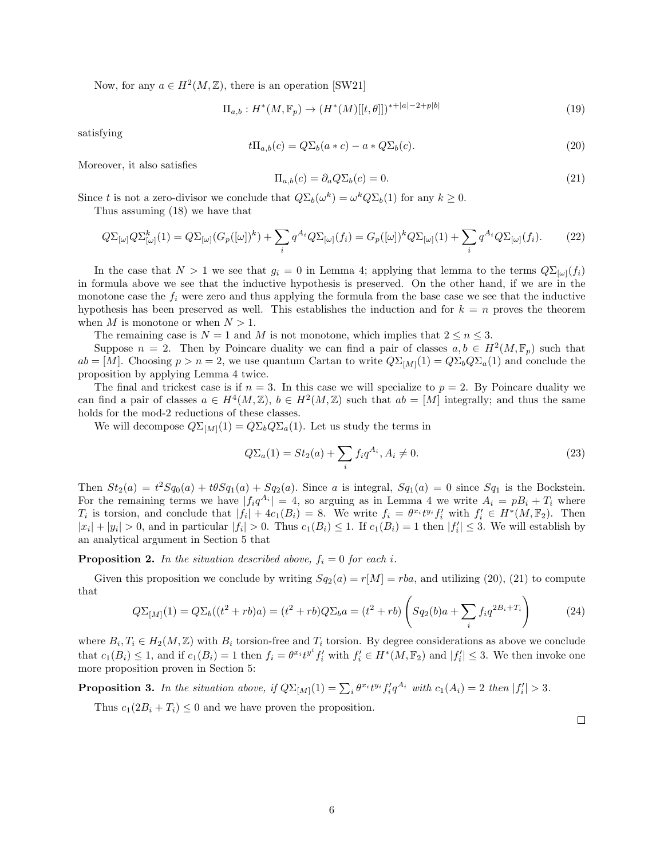Now, for any  $a \in H^2(M, \mathbb{Z})$ , there is an operation [SW21]

$$
\Pi_{a,b}: H^*(M, \mathbb{F}_p) \to (H^*(M)[[t, \theta]])^{*+|a|-2+p|b|}
$$
\n(19)

satisfying

$$
t\Pi_{a,b}(c) = Q\Sigma_b(a*c) - a \cdot Q\Sigma_b(c). \tag{20}
$$

Moreover, it also satisfies

$$
\Pi_{a,b}(c) = \partial_a Q \Sigma_b(c) = 0. \tag{21}
$$

Since t is not a zero-divisor we conclude that  $Q\Sigma_b(\omega^k) = \omega^k Q \Sigma_b(1)$  for any  $k \geq 0$ . Thus assuming (18) we have that

$$
Q\Sigma_{[\omega]} Q \Sigma_{[\omega]}^k(1) = Q \Sigma_{[\omega]} (G_p([\omega])^k) + \sum_i q^{A_i} Q \Sigma_{[\omega]}(f_i) = G_p([\omega])^k Q \Sigma_{[\omega]}(1) + \sum_i q^{A_i} Q \Sigma_{[\omega]}(f_i). \tag{22}
$$

In the case that  $N > 1$  we see that  $g_i = 0$  in Lemma 4; applying that lemma to the terms  $Q\Sigma_{[\omega]}(f_i)$ in formula above we see that the inductive hypothesis is preserved. On the other hand, if we are in the monotone case the  $f_i$  were zero and thus applying the formula from the base case we see that the inductive hypothesis has been preserved as well. This establishes the induction and for  $k = n$  proves the theorem when M is monotone or when  $N > 1$ .

The remaining case is  $N = 1$  and M is not monotone, which implies that  $2 \le n \le 3$ .

Suppose  $n = 2$ . Then by Poincare duality we can find a pair of classes  $a, b \in H^2(M, \mathbb{F}_p)$  such that  $ab = [M]$ . Choosing  $p > n = 2$ , we use quantum Cartan to write  $Q\Sigma_{[M]}(1) = Q\Sigma_b Q \Sigma_a(1)$  and conclude the proposition by applying Lemma 4 twice.

The final and trickest case is if  $n = 3$ . In this case we will specialize to  $p = 2$ . By Poincare duality we can find a pair of classes  $a \in H^4(M, \mathbb{Z})$ ,  $b \in H^2(M, \mathbb{Z})$  such that  $ab = [M]$  integrally; and thus the same holds for the mod-2 reductions of these classes.

We will decompose  $Q\Sigma_{[M]}(1) = Q\Sigma_b Q \Sigma_a(1)$ . Let us study the terms in

$$
Q\Sigma_a(1) = St_2(a) + \sum_i f_i q^{A_i}, A_i \neq 0.
$$
\n(23)

Then  $St_2(a) = t^2Sq_0(a) + t\theta Sq_1(a) + Sq_2(a)$ . Since a is integral,  $Sq_1(a) = 0$  since  $Sq_1$  is the Bockstein. For the remaining terms we have  $|f_i q^{A_i}| = 4$ , so arguing as in Lemma 4 we write  $A_i = pB_i + T_i$  where  $T_i$  is torsion, and conclude that  $|f_i| + 4c_1(B_i) = 8$ . We write  $f_i = \theta^{x_i} t^{y_i} f'_i$  with  $f'_i \in H^*(M, \mathbb{F}_2)$ . Then  $|x_i| + |y_i| > 0$ , and in particular  $|f_i| > 0$ . Thus  $c_1(B_i) \leq 1$ . If  $c_1(B_i) = 1$  then  $|f'_i| \leq 3$ . We will establish by an analytical argument in Section 5 that

**Proposition 2.** In the situation described above,  $f_i = 0$  for each i.

Given this proposition we conclude by writing  $Sq_2(a) = r[M] = rba$ , and utilizing (20), (21) to compute that

$$
Q\Sigma_{[M]}(1) = Q\Sigma_b((t^2 + rb)a) = (t^2 + rb)Q\Sigma_b a = (t^2 + rb)\left(Sq_2(b)a + \sum_i f_i q^{2B_i + T_i}\right)
$$
(24)

where  $B_i, T_i \in H_2(M, \mathbb{Z})$  with  $B_i$  torsion-free and  $T_i$  torsion. By degree considerations as above we conclude that  $c_1(B_i) \leq 1$ , and if  $c_1(B_i) = 1$  then  $f_i = \theta^{x_i} t^{y^i} f'_i$  with  $f'_i \in H^*(M, \mathbb{F}_2)$  and  $|f'_i| \leq 3$ . We then invoke one more proposition proven in Section 5:

**Proposition 3.** In the situation above, if  $Q\Sigma_{[M]}(1) = \sum_i \theta^{x_i} t^{y_i} f'_i q^{A_i}$  with  $c_1(A_i) = 2$  then  $|f'_i| > 3$ .

Thus  $c_1(2B_i+T_i) \leq 0$  and we have proven the proposition.

 $\Box$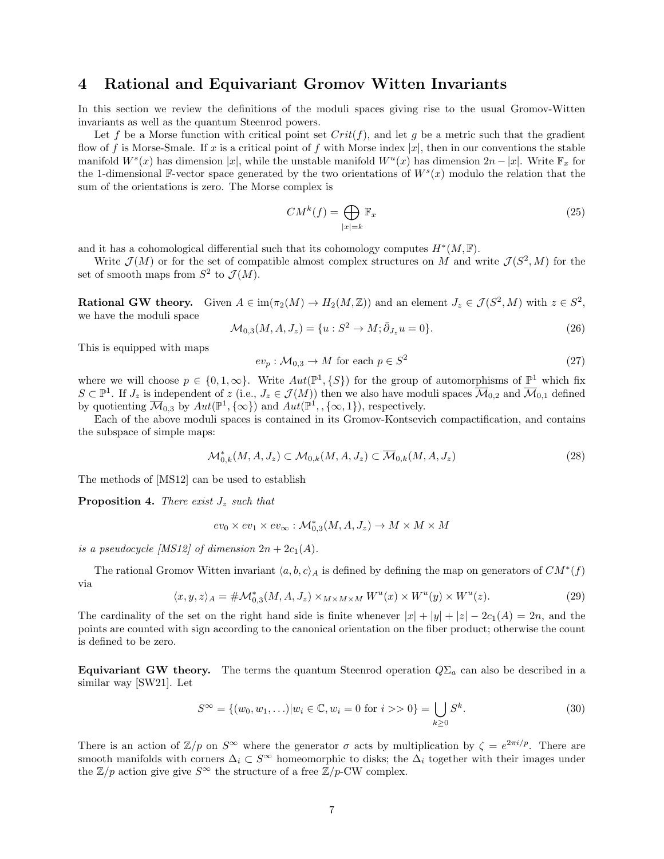#### 4 Rational and Equivariant Gromov Witten Invariants

In this section we review the definitions of the moduli spaces giving rise to the usual Gromov-Witten invariants as well as the quantum Steenrod powers.

Let f be a Morse function with critical point set  $Crit(f)$ , and let g be a metric such that the gradient flow of f is Morse-Smale. If x is a critical point of f with Morse index  $|x|$ , then in our conventions the stable manifold  $W^s(x)$  has dimension |x|, while the unstable manifold  $W^u(x)$  has dimension  $2n - |x|$ . Write  $\mathbb{F}_x$  for the 1-dimensional F-vector space generated by the two orientations of  $W<sup>s</sup>(x)$  modulo the relation that the sum of the orientations is zero. The Morse complex is

$$
CM^{k}(f) = \bigoplus_{|x|=k} \mathbb{F}_{x}
$$
\n(25)

and it has a cohomological differential such that its cohomology computes  $H^*(M, \mathbb{F})$ .

Write  $\mathcal{J}(M)$  or for the set of compatible almost complex structures on M and write  $\mathcal{J}(S^2, M)$  for the set of smooth maps from  $S^2$  to  $\mathcal{J}(M)$ .

**Rational GW theory.** Given  $A \in \text{im}(\pi_2(M) \to H_2(M, \mathbb{Z}))$  and an element  $J_z \in \mathcal{J}(S^2, M)$  with  $z \in S^2$ , we have the moduli space

$$
\mathcal{M}_{0,3}(M, A, J_z) = \{u : S^2 \to M; \bar{\partial}_{J_z} u = 0\}.
$$
\n(26)

This is equipped with maps

$$
ev_p: \mathcal{M}_{0,3} \to M \text{ for each } p \in S^2
$$
\n
$$
(27)
$$

where we will choose  $p \in \{0, 1, \infty\}$ . Write  $Aut(\mathbb{P}^1, \{S\})$  for the group of automorphisms of  $\mathbb{P}^1$  which fix  $S \subset \mathbb{P}^1$ . If  $J_z$  is independent of  $z$  (i.e.,  $J_z \in \mathcal{J}(M)$ ) then we also have moduli spaces  $\overline{\mathcal{M}}_{0,2}$  and  $\overline{\mathcal{M}}_{0,1}$  defined by quotienting  $\overline{\mathcal{M}}_{0,3}$  by  $Aut(\mathbb{P}^1, {\{\infty\}})$  and  $Aut(\mathbb{P}^1, {\{\infty,1\}})$ , respectively.

Each of the above moduli spaces is contained in its Gromov-Kontsevich compactification, and contains the subspace of simple maps:

$$
\mathcal{M}_{0,k}^*(M, A, J_z) \subset \mathcal{M}_{0,k}(M, A, J_z) \subset \overline{\mathcal{M}}_{0,k}(M, A, J_z)
$$
\n
$$
(28)
$$

The methods of [MS12] can be used to establish

**Proposition 4.** There exist  $J_z$  such that

$$
ev_0 \times ev_1 \times ev_{\infty} : \mathcal{M}_{0,3}^*(M, A, J_z) \to M \times M \times M
$$

is a pseudocycle [MS12] of dimension  $2n + 2c_1(A)$ .

The rational Gromov Witten invariant  $\langle a, b, c \rangle_A$  is defined by defining the map on generators of  $CM^*(f)$ via

$$
\langle x, y, z \rangle_A = \# \mathcal{M}_{0,3}^*(M, A, J_z) \times_{M \times M \times M} W^u(x) \times W^u(y) \times W^u(z). \tag{29}
$$

The cardinality of the set on the right hand side is finite whenever  $|x| + |y| + |z| - 2c_1(A) = 2n$ , and the points are counted with sign according to the canonical orientation on the fiber product; otherwise the count is defined to be zero.

**Equivariant GW theory.** The terms the quantum Steenrod operation  $Q\Sigma_a$  can also be described in a similar way [SW21]. Let

$$
S^{\infty} = \{(w_0, w_1, \ldots) | w_i \in \mathbb{C}, w_i = 0 \text{ for } i >> 0\} = \bigcup_{k \ge 0} S^k.
$$
 (30)

There is an action of  $\mathbb{Z}/p$  on  $S^{\infty}$  where the generator  $\sigma$  acts by multiplication by  $\zeta = e^{2\pi i/p}$ . There are smooth manifolds with corners  $\Delta_i \subset S^{\infty}$  homeomorphic to disks; the  $\Delta_i$  together with their images under the  $\mathbb{Z}/p$  action give give  $S^{\infty}$  the structure of a free  $\mathbb{Z}/p$ -CW complex.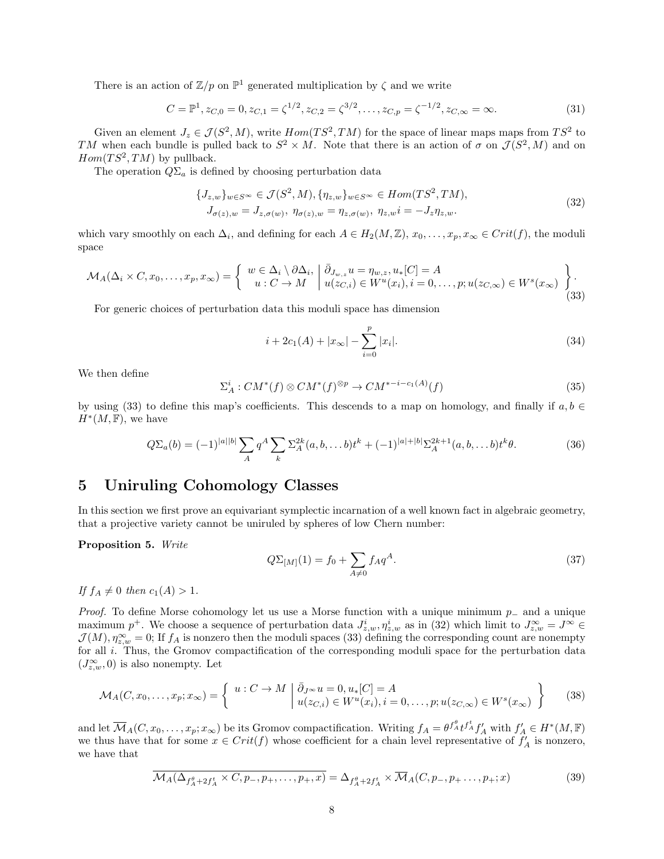There is an action of  $\mathbb{Z}/p$  on  $\mathbb{P}^1$  generated multiplication by  $\zeta$  and we write

$$
C = \mathbb{P}^1, z_{C,0} = 0, z_{C,1} = \zeta^{1/2}, z_{C,2} = \zeta^{3/2}, \dots, z_{C,p} = \zeta^{-1/2}, z_{C,\infty} = \infty.
$$
\n(31)

Given an element  $J_z \in \mathcal{J}(S^2, M)$ , write  $Hom(TS^2, TM)$  for the space of linear maps maps from  $TS^2$  to TM when each bundle is pulled back to  $S^2 \times M$ . Note that there is an action of  $\sigma$  on  $\mathcal{J}(S^2, M)$  and on  $Hom(TS^2, TM)$  by pullback.

The operation  $Q\Sigma_a$  is defined by choosing perturbation data

$$
\{J_{z,w}\}_{w\in S^{\infty}} \in \mathcal{J}(S^2, M), \{\eta_{z,w}\}_{w\in S^{\infty}} \in Hom(TS^2, TM),
$$
  
\n
$$
J_{\sigma(z),w} = J_{z,\sigma(w)}, \ \eta_{\sigma(z),w} = \eta_{z,\sigma(w)}, \ \eta_{z,w} = -J_z \eta_{z,w}.
$$
\n
$$
(32)
$$

which vary smoothly on each  $\Delta_i$ , and defining for each  $A \in H_2(M, \mathbb{Z})$ ,  $x_0, \ldots, x_p, x_\infty \in Crit(f)$ , the moduli space

$$
\mathcal{M}_A(\Delta_i \times C, x_0, \dots, x_p, x_\infty) = \left\{ \begin{array}{c} w \in \Delta_i \setminus \partial \Delta_i, \left| \bar{\partial}_{J_{w,z}} u = \eta_{w,z}, u_*[C] = A \\ u : C \to M \end{array} \right| \begin{array}{c} u(x_C, u) = u(x_C, u) \\ u(x_C, u) \in W^u(x_i), i = 0, \dots, p; u(x_C, \infty) \in W^s(x_\infty) \end{array} \right\}.
$$
\n(33)

For generic choices of perturbation data this moduli space has dimension

$$
i + 2c_1(A) + |x_{\infty}| - \sum_{i=0}^{p} |x_i|.
$$
 (34)

We then define

$$
\Sigma_A^i: CM^*(f) \otimes CM^*(f)^{\otimes p} \to CM^{*-i-c_1(A)}(f)
$$
\n(35)

by using (33) to define this map's coefficients. This descends to a map on homology, and finally if  $a, b \in$  $H^*(M,\mathbb{F}),$  we have

$$
Q\Sigma_a(b) = (-1)^{|a||b|} \sum_A q^A \sum_k \Sigma_A^{2k}(a, b, \dots b)t^k + (-1)^{|a|+|b|} \Sigma_A^{2k+1}(a, b, \dots b)t^k \theta.
$$
 (36)

## 5 Uniruling Cohomology Classes

In this section we first prove an equivariant symplectic incarnation of a well known fact in algebraic geometry, that a projective variety cannot be uniruled by spheres of low Chern number:

Proposition 5. Write

$$
Q\Sigma_{[M]}(1) = f_0 + \sum_{A \neq 0} f_A q^A.
$$
\n(37)

If  $f_A \neq 0$  then  $c_1(A) > 1$ .

*Proof.* To define Morse cohomology let us use a Morse function with a unique minimum  $p_$  and a unique maximum  $p^+$ . We choose a sequence of perturbation data  $J_{z,w}^i, \eta_{z,w}^i$  as in (32) which limit to  $J_{z,w}^{\infty} = J^{\infty} \in$  $\mathcal{J}(M)$ ,  $\eta_{z,w}^{\infty} = 0$ ; If  $f_A$  is nonzero then the moduli spaces (33) defining the corresponding count are nonempty for all *i*. Thus, the Gromov compactification of the corresponding moduli space for the perturbation data  $(J_{z,w}^{\infty},0)$  is also nonempty. Let

$$
\mathcal{M}_A(C, x_0, \dots, x_p; x_\infty) = \left\{ u : C \to M \mid \bar{\partial}_{J^\infty} u = 0, u_*[C] = A \right\}
$$
  

$$
u(z_{C,i}) \in W^u(x_i), i = 0, \dots, p; u(z_{C,\infty}) \in W^s(x_\infty) \right\}
$$
 (38)

and let  $\overline{\mathcal{M}}_A(C, x_0, \ldots, x_p; x_\infty)$  be its Gromov compactification. Writing  $f_A = \theta^{f_A^{\theta}} t^{f_A^{\theta}} f_A^{\prime}$  with  $f_A \in H^*(M, \mathbb{F})$ we thus have that for some  $x \in Crit(f)$  whose coefficient for a chain level representative of  $f'_A$  is nonzero, we have that

$$
\overline{\mathcal{M}}_{A}(\Delta_{f_A^{\theta} + 2f_A^t} \times C, p_-, p_+, \dots, p_+, x) = \Delta_{f_A^{\theta} + 2f_A^t} \times \overline{\mathcal{M}}_{A}(C, p_-, p_+, \dots, p_+; x)
$$
(39)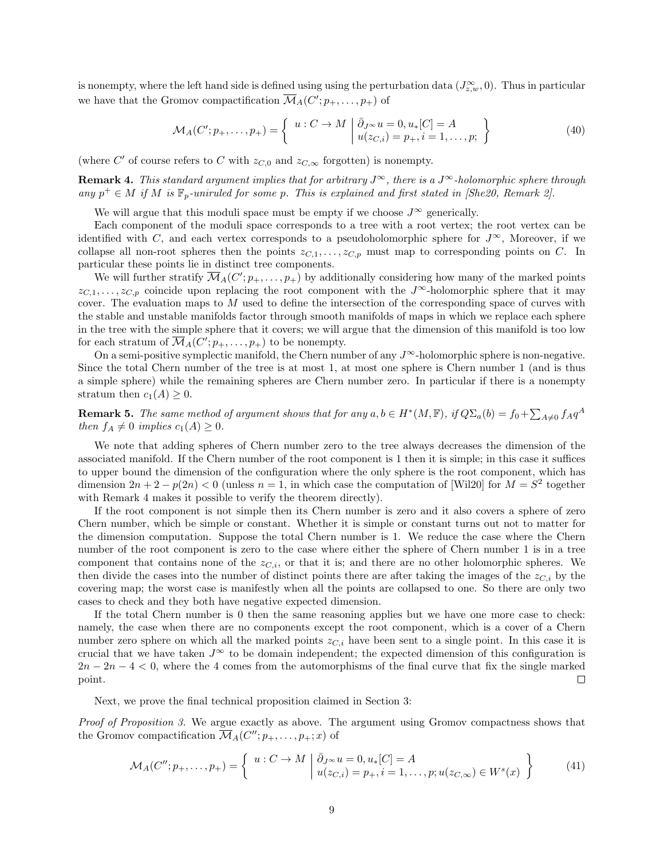is nonempty, where the left hand side is defined using using the perturbation data  $(J_{z,w}^{\infty},0)$ . Thus in particular we have that the Gromov compactification  $\overline{\mathcal{M}}_A(C'; p_+, \ldots, p_+)$  of

$$
\mathcal{M}_A(C'; p_+, \dots, p_+) = \left\{ u : C \to M \mid \bar{\partial}_{J^\infty} u = 0, u_*[C] = A \atop u(z_{C,i}) = p_+, i = 1, \dots, p; \right\}
$$
(40)

(where C' of course refers to C with  $z_{C,0}$  and  $z_{C,\infty}$  forgotten) is nonempty.

**Remark 4.** This standard argument implies that for arbitrary  $J^{\infty}$ , there is a  $J^{\infty}$ -holomorphic sphere through any  $p^+ \in M$  if M is  $\mathbb{F}_p$ -uniruled for some p. This is explained and first stated in [She20, Remark 2].

We will argue that this moduli space must be empty if we choose  $J^{\infty}$  generically.

Each component of the moduli space corresponds to a tree with a root vertex; the root vertex can be identified with C, and each vertex corresponds to a pseudoholomorphic sphere for  $J^{\infty}$ , Moreover, if we collapse all non-root spheres then the points  $z_{C,1}, \ldots, z_{C,p}$  must map to corresponding points on C. In particular these points lie in distinct tree components.

We will further stratify  $\overline{\mathcal{M}}_A(C'; p_+, \ldots, p_+)$  by additionally considering how many of the marked points  $z_{C,1},\ldots,z_{C,p}$  coincide upon replacing the root component with the J<sup>∞</sup>-holomorphic sphere that it may cover. The evaluation maps to M used to define the intersection of the corresponding space of curves with the stable and unstable manifolds factor through smooth manifolds of maps in which we replace each sphere in the tree with the simple sphere that it covers; we will argue that the dimension of this manifold is too low for each stratum of  $\overline{\mathcal{M}}_A(C'; p_+, \ldots, p_+)$  to be nonempty.

On a semi-positive symplectic manifold, the Chern number of any  $J^{\infty}$ -holomorphic sphere is non-negative. Since the total Chern number of the tree is at most 1, at most one sphere is Chern number 1 (and is thus a simple sphere) while the remaining spheres are Chern number zero. In particular if there is a nonempty stratum then  $c_1(A) \geq 0$ .

**Remark 5.** The same method of argument shows that for any  $a, b \in H^*(M, \mathbb{F})$ , if  $Q\Sigma_a(b) = f_0 + \sum_{A \neq 0} f_A q^A$ then  $f_A \neq 0$  implies  $c_1(A) \geq 0$ .

We note that adding spheres of Chern number zero to the tree always decreases the dimension of the associated manifold. If the Chern number of the root component is 1 then it is simple; in this case it suffices to upper bound the dimension of the configuration where the only sphere is the root component, which has dimension  $2n + 2 - p(2n) < 0$  (unless  $n = 1$ , in which case the computation of [Wil20] for  $M = S^2$  together with Remark 4 makes it possible to verify the theorem directly).

If the root component is not simple then its Chern number is zero and it also covers a sphere of zero Chern number, which be simple or constant. Whether it is simple or constant turns out not to matter for the dimension computation. Suppose the total Chern number is 1. We reduce the case where the Chern number of the root component is zero to the case where either the sphere of Chern number 1 is in a tree component that contains none of the  $z_{C,i}$ , or that it is; and there are no other holomorphic spheres. We then divide the cases into the number of distinct points there are after taking the images of the  $z_{C,i}$  by the covering map; the worst case is manifestly when all the points are collapsed to one. So there are only two cases to check and they both have negative expected dimension.

If the total Chern number is 0 then the same reasoning applies but we have one more case to check: namely, the case when there are no components except the root component, which is a cover of a Chern number zero sphere on which all the marked points  $z_{C,i}$  have been sent to a single point. In this case it is crucial that we have taken  $J^{\infty}$  to be domain independent; the expected dimension of this configuration is  $2n-2n-4 < 0$ , where the 4 comes from the automorphisms of the final curve that fix the single marked point.  $\Box$ 

Next, we prove the final technical proposition claimed in Section 3:

Proof of Proposition 3. We argue exactly as above. The argument using Gromov compactness shows that the Gromov compactification  $\overline{\mathcal{M}}_A(C''; p_+, \ldots, p_+; x)$  of

$$
\mathcal{M}_A(C''; p_+, \dots, p_+) = \left\{ \begin{array}{c} u: C \to M \mid \bar{\partial}_{J^\infty} u = 0, u_*[C] = A \\ u(z_{C,i}) = p_+, i = 1, \dots, p; u(z_{C,\infty}) \in W^s(x) \end{array} \right\} \tag{41}
$$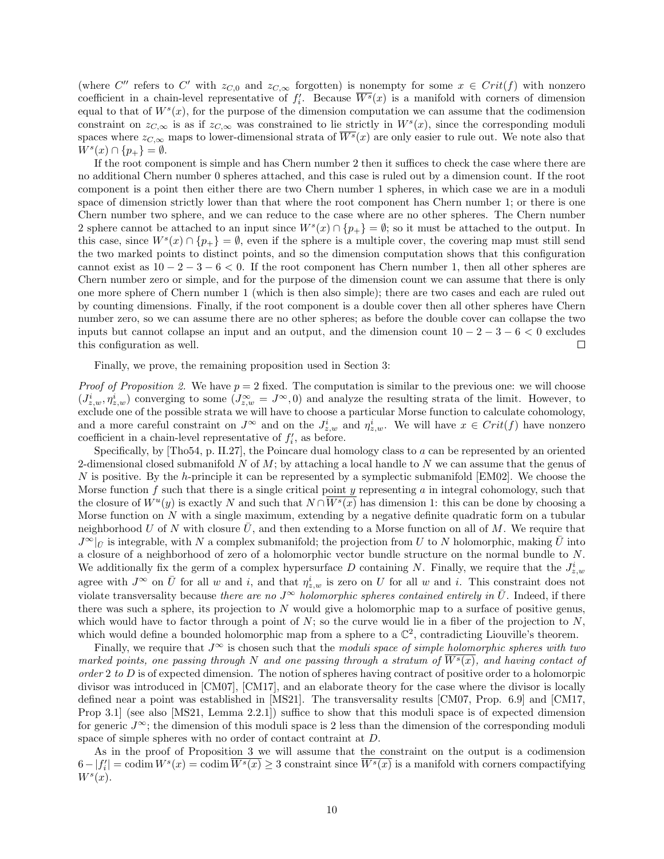(where C'' refers to C' with  $z_{C,0}$  and  $z_{C,\infty}$  forgotten) is nonempty for some  $x \in Crit(f)$  with nonzero coefficient in a chain-level representative of  $f_i'$ . Because  $\overline{W^s}(x)$  is a manifold with corners of dimension equal to that of  $W^s(x)$ , for the purpose of the dimension computation we can assume that the codimension constraint on  $z_{C,\infty}$  is as if  $z_{C,\infty}$  was constrained to lie strictly in  $W^s(x)$ , since the corresponding moduli spaces where  $z_{C,\infty}$  maps to lower-dimensional strata of  $\overline{W^s}(x)$  are only easier to rule out. We note also that  $W^s(x) \cap \{p_+\} = \emptyset.$ 

If the root component is simple and has Chern number 2 then it suffices to check the case where there are no additional Chern number 0 spheres attached, and this case is ruled out by a dimension count. If the root component is a point then either there are two Chern number 1 spheres, in which case we are in a moduli space of dimension strictly lower than that where the root component has Chern number 1; or there is one Chern number two sphere, and we can reduce to the case where are no other spheres. The Chern number 2 sphere cannot be attached to an input since  $W^s(x) \cap \{p_+\} = \emptyset$ ; so it must be attached to the output. In this case, since  $W^s(x) \cap \{p_+\} = \emptyset$ , even if the sphere is a multiple cover, the covering map must still send the two marked points to distinct points, and so the dimension computation shows that this configuration cannot exist as  $10 - 2 - 3 - 6 < 0$ . If the root component has Chern number 1, then all other spheres are Chern number zero or simple, and for the purpose of the dimension count we can assume that there is only one more sphere of Chern number 1 (which is then also simple); there are two cases and each are ruled out by counting dimensions. Finally, if the root component is a double cover then all other spheres have Chern number zero, so we can assume there are no other spheres; as before the double cover can collapse the two inputs but cannot collapse an input and an output, and the dimension count  $10 - 2 - 3 - 6 < 0$  excludes this configuration as well.  $\Box$ 

Finally, we prove, the remaining proposition used in Section 3:

*Proof of Proposition 2.* We have  $p = 2$  fixed. The computation is similar to the previous one: we will choose  $(J_{z,w}^i, \eta_{z,w}^i)$  converging to some  $(J_{z,w}^{\infty} = J^{\infty}, 0)$  and analyze the resulting strata of the limit. However, to exclude one of the possible strata we will have to choose a particular Morse function to calculate cohomology, and a more careful constraint on  $J^{\infty}$  and on the  $J_{z,w}^{i}$  and  $\eta_{z,w}^{i}$ . We will have  $x \in Crit(f)$  have nonzero coefficient in a chain-level representative of  $f_i'$ , as before.

Specifically, by [Tho54, p. II.27], the Poincare dual homology class to a can be represented by an oriented 2-dimensional closed submanifold  $N$  of  $M$ ; by attaching a local handle to  $N$  we can assume that the genus of N is positive. By the h-principle it can be represented by a symplectic submanifold  $[EM02]$ . We choose the Morse function  $f$  such that there is a single critical point  $y$  representing  $a$  in integral cohomology, such that the closure of  $W^u(y)$  is exactly N and such that  $N \cap \overline{W^s(x)}$  has dimension 1: this can be done by choosing a Morse function on  $N$  with a single maximum, extending by a negative definite quadratic form on a tubular neighborhood U of N with closure U, and then extending to a Morse function on all of M. We require that  $J^{\infty}|_{\bar{U}}$  is integrable, with N a complex submanifold; the projection from U to N holomorphic, making  $\bar{U}$  into a closure of a neighborhood of zero of a holomorphic vector bundle structure on the normal bundle to N. We additionally fix the germ of a complex hypersurface D containing N. Finally, we require that the  $J_{z,w}^{i}$ agree with  $J^{\infty}$  on  $\overline{U}$  for all w and i, and that  $\eta_{z,w}^{i}$  is zero on U for all w and i. This constraint does not violate transversality because there are no  $J^{\infty}$  holomorphic spheres contained entirely in  $\bar{U}$ . Indeed, if there there was such a sphere, its projection to  $N$  would give a holomorphic map to a surface of positive genus, which would have to factor through a point of  $N$ ; so the curve would lie in a fiber of the projection to  $N$ , which would define a bounded holomorphic map from a sphere to a  $\mathbb{C}^2$ , contradicting Liouville's theorem.

Finally, we require that  $J^{\infty}$  is chosen such that the moduli space of simple holomorphic spheres with two marked points, one passing through N and one passing through a stratum of  $W^s(x)$ , and having contact of order 2 to  $D$  is of expected dimension. The notion of spheres having contract of positive order to a holomorpic divisor was introduced in [CM07], [CM17], and an elaborate theory for the case where the divisor is locally defined near a point was established in [MS21]. The transversality results [CM07, Prop. 6.9] and [CM17, Prop 3.1] (see also [MS21, Lemma 2.2.1]) suffice to show that this moduli space is of expected dimension for generic  $J^{\infty}$ ; the dimension of this moduli space is 2 less than the dimension of the corresponding moduli space of simple spheres with no order of contact contraint at  $D$ .

As in the proof of Proposition 3 we will assume that the constraint on the output is a codimension  $6 - |f'_i| = \text{codim } W^s(x) = \text{codim } \overline{W^s(x)} \geq 3$  constraint since  $\overline{W^s(x)}$  is a manifold with corners compactifying  $W^s(x)$ .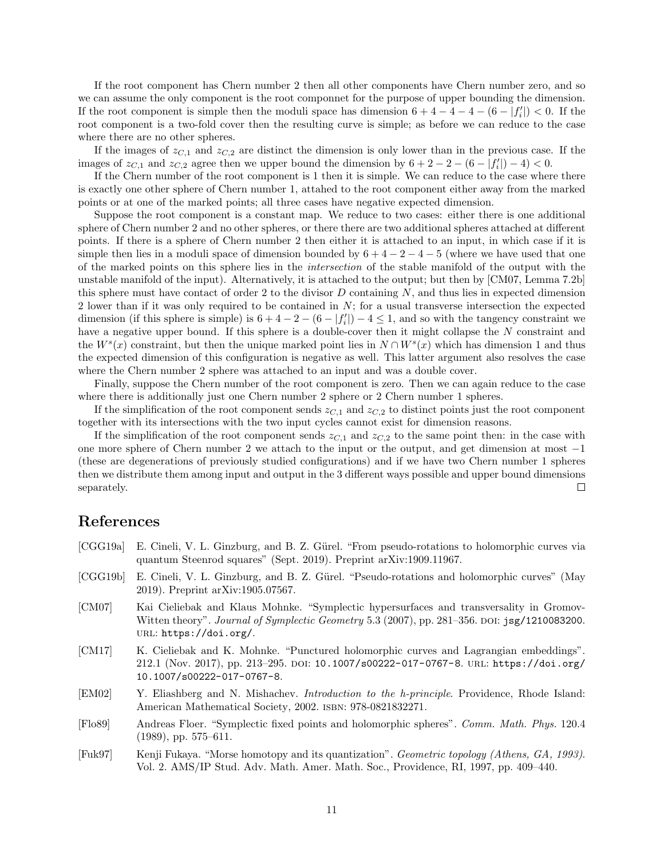If the root component has Chern number 2 then all other components have Chern number zero, and so we can assume the only component is the root componnet for the purpose of upper bounding the dimension. If the root component is simple then the moduli space has dimension  $6 + 4 - 4 - 4 - (6 - |f'_{i}|) < 0$ . If the root component is a two-fold cover then the resulting curve is simple; as before we can reduce to the case where there are no other spheres.

If the images of  $z_{C,1}$  and  $z_{C,2}$  are distinct the dimension is only lower than in the previous case. If the images of  $z_{C,1}$  and  $z_{C,2}$  agree then we upper bound the dimension by  $6 + 2 - 2 - (6 - |f'_i|) - 4 < 0$ .

If the Chern number of the root component is 1 then it is simple. We can reduce to the case where there is exactly one other sphere of Chern number 1, attahed to the root component either away from the marked points or at one of the marked points; all three cases have negative expected dimension.

Suppose the root component is a constant map. We reduce to two cases: either there is one additional sphere of Chern number 2 and no other spheres, or there there are two additional spheres attached at different points. If there is a sphere of Chern number 2 then either it is attached to an input, in which case if it is simple then lies in a moduli space of dimension bounded by  $6 + 4 - 2 - 4 - 5$  (where we have used that one of the marked points on this sphere lies in the intersection of the stable manifold of the output with the unstable manifold of the input). Alternatively, it is attached to the output; but then by [CM07, Lemma 7.2b] this sphere must have contact of order 2 to the divisor  $D$  containing  $N$ , and thus lies in expected dimension 2 lower than if it was only required to be contained in N; for a usual transverse intersection the expected dimension (if this sphere is simple) is  $6 + 4 - 2 - (6 - |f'_{i}|) - 4 \leq 1$ , and so with the tangency constraint we have a negative upper bound. If this sphere is a double-cover then it might collapse the N constraint and the  $W<sup>s</sup>(x)$  constraint, but then the unique marked point lies in  $N \cap W<sup>s</sup>(x)$  which has dimension 1 and thus the expected dimension of this configuration is negative as well. This latter argument also resolves the case where the Chern number 2 sphere was attached to an input and was a double cover.

Finally, suppose the Chern number of the root component is zero. Then we can again reduce to the case where there is additionally just one Chern number 2 sphere or 2 Chern number 1 spheres.

If the simplification of the root component sends  $z_{C,1}$  and  $z_{C,2}$  to distinct points just the root component together with its intersections with the two input cycles cannot exist for dimension reasons.

If the simplification of the root component sends  $z_{C,1}$  and  $z_{C,2}$  to the same point then: in the case with one more sphere of Chern number 2 we attach to the input or the output, and get dimension at most −1 (these are degenerations of previously studied configurations) and if we have two Chern number 1 spheres then we distribute them among input and output in the 3 different ways possible and upper bound dimensions separately.  $\Box$ 

# References

- [CGG19a] E. Cineli, V. L. Ginzburg, and B. Z. Gürel. "From pseudo-rotations to holomorphic curves via quantum Steenrod squares" (Sept. 2019). Preprint arXiv:1909.11967.
- [CGG19b] E. Cineli, V. L. Ginzburg, and B. Z. Gürel. "Pseudo-rotations and holomorphic curves" (May 2019). Preprint arXiv:1905.07567.
- [CM07] Kai Cieliebak and Klaus Mohnke. "Symplectic hypersurfaces and transversality in Gromov-Witten theory". *Journal of Symplectic Geometry* 5.3 (2007), pp. 281–356. DOI: jsg/1210083200. URL: https://doi.org/.
- [CM17] K. Cieliebak and K. Mohnke. "Punctured holomorphic curves and Lagrangian embeddings". 212.1 (Nov. 2017), pp. 213–295. doi: 10.1007/s00222-017-0767-8. url: https://doi.org/ 10.1007/s00222-017-0767-8.
- [EM02] Y. Eliashberg and N. Mishachev. Introduction to the h-principle. Providence, Rhode Island: American Mathematical Society, 2002. isbn: 978-0821832271.
- [Flo89] Andreas Floer. "Symplectic fixed points and holomorphic spheres". Comm. Math. Phys. 120.4 (1989), pp. 575–611.
- [Fuk97] Kenji Fukaya. "Morse homotopy and its quantization". Geometric topology (Athens, GA, 1993). Vol. 2. AMS/IP Stud. Adv. Math. Amer. Math. Soc., Providence, RI, 1997, pp. 409–440.